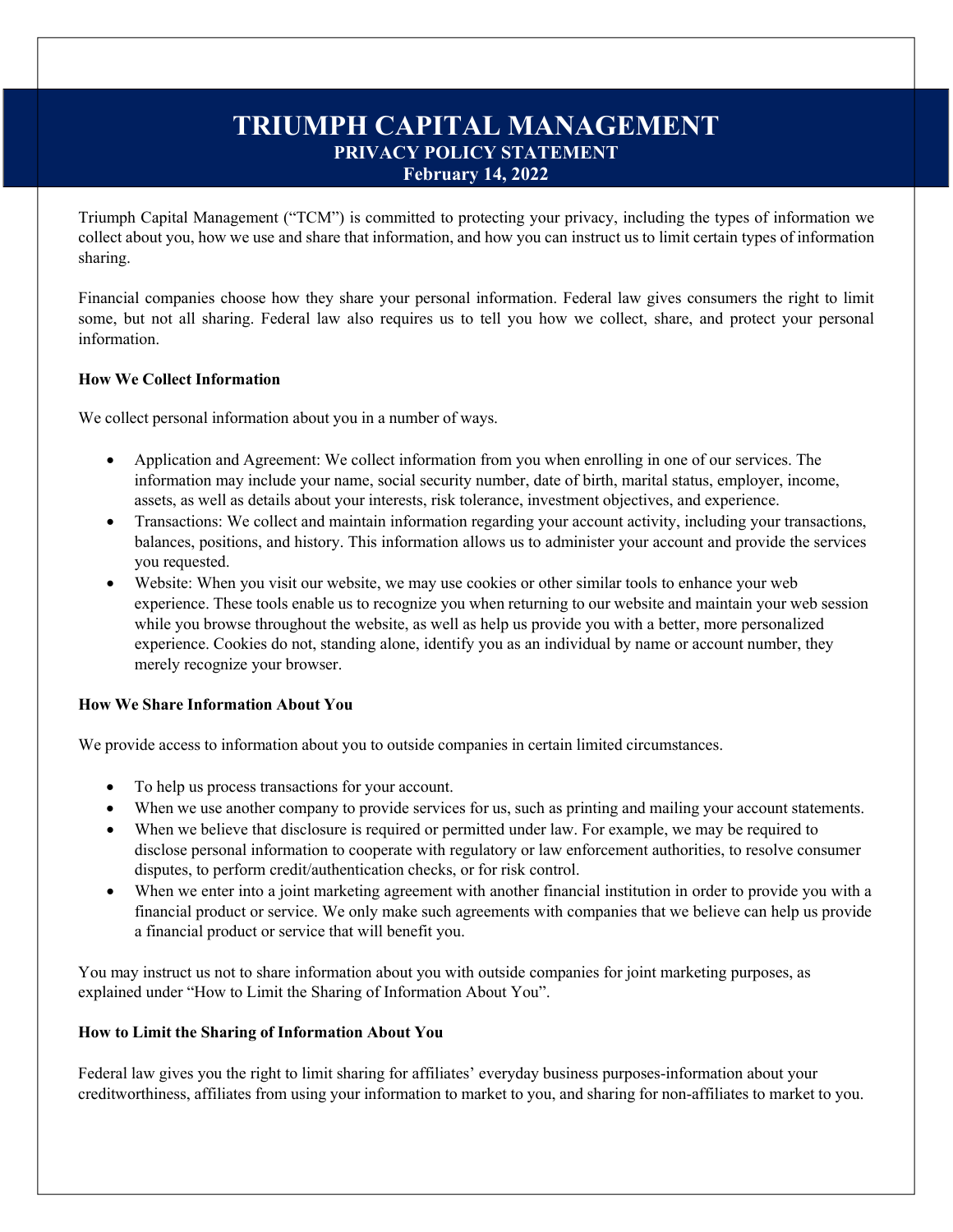# **TRIUMPH CAPITAL MANAGEMENT PRIVACY POLICY STATEMENT February 14, 2022**

Triumph Capital Management ("TCM") is committed to protecting your privacy, including the types of information we collect about you, how we use and share that information, and how you can instruct us to limit certain types of information sharing.

Financial companies choose how they share your personal information. Federal law gives consumers the right to limit some, but not all sharing. Federal law also requires us to tell you how we collect, share, and protect your personal information.

## **How We Collect Information**

We collect personal information about you in a number of ways.

- Application and Agreement: We collect information from you when enrolling in one of our services. The information may include your name, social security number, date of birth, marital status, employer, income, assets, as well as details about your interests, risk tolerance, investment objectives, and experience.
- Transactions: We collect and maintain information regarding your account activity, including your transactions, balances, positions, and history. This information allows us to administer your account and provide the services you requested.
- Website: When you visit our website, we may use cookies or other similar tools to enhance your web experience. These tools enable us to recognize you when returning to our website and maintain your web session while you browse throughout the website, as well as help us provide you with a better, more personalized experience. Cookies do not, standing alone, identify you as an individual by name or account number, they merely recognize your browser.

## **How We Share Information About You**

We provide access to information about you to outside companies in certain limited circumstances.

- To help us process transactions for your account.
- When we use another company to provide services for us, such as printing and mailing your account statements.
- When we believe that disclosure is required or permitted under law. For example, we may be required to disclose personal information to cooperate with regulatory or law enforcement authorities, to resolve consumer disputes, to perform credit/authentication checks, or for risk control.
- When we enter into a joint marketing agreement with another financial institution in order to provide you with a financial product or service. We only make such agreements with companies that we believe can help us provide a financial product or service that will benefit you.

You may instruct us not to share information about you with outside companies for joint marketing purposes, as explained under "How to Limit the Sharing of Information About You".

## **How to Limit the Sharing of Information About You**

Federal law gives you the right to limit sharing for affiliates' everyday business purposes-information about your creditworthiness, affiliates from using your information to market to you, and sharing for non-affiliates to market to you.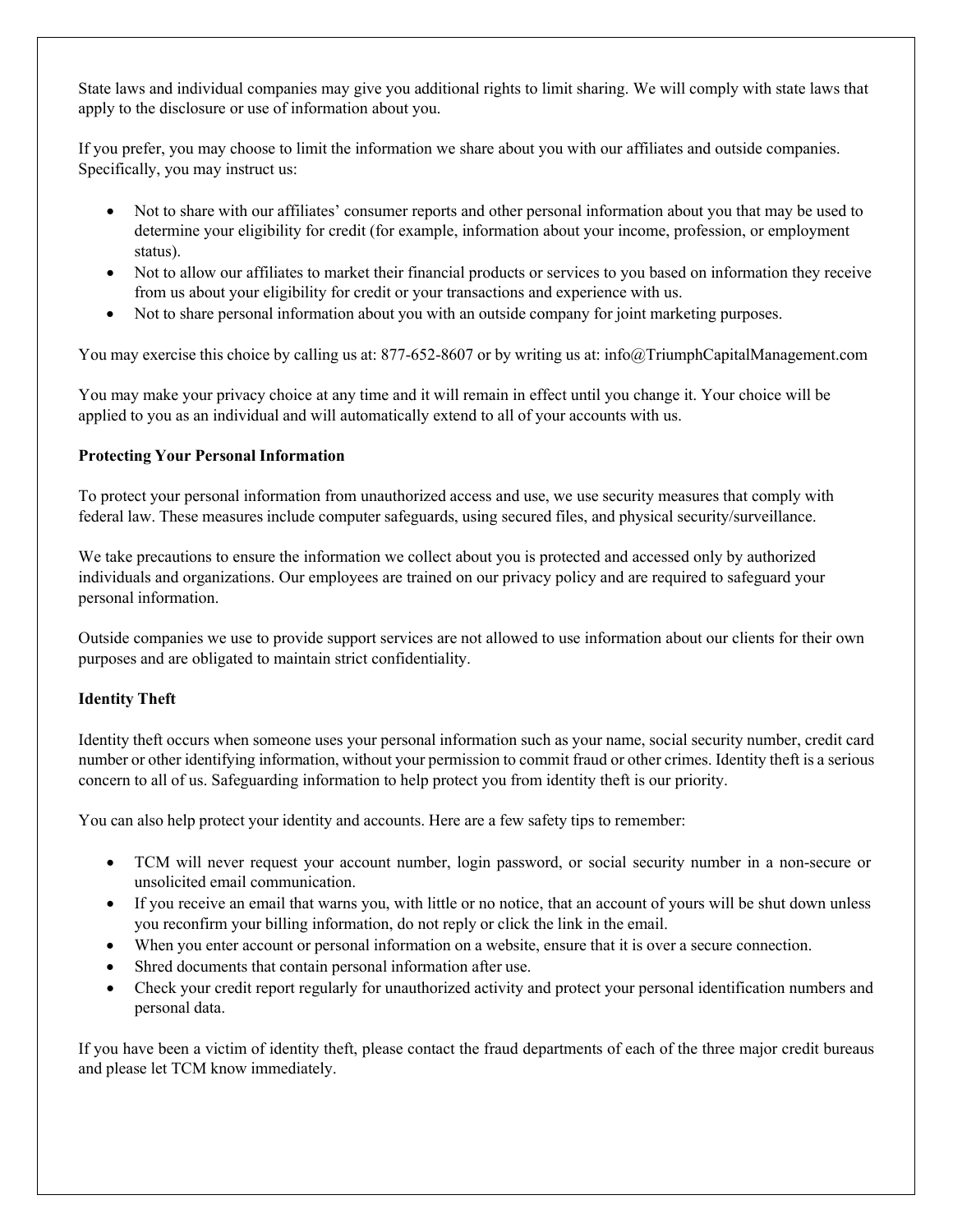State laws and individual companies may give you additional rights to limit sharing. We will comply with state laws that apply to the disclosure or use of information about you.

If you prefer, you may choose to limit the information we share about you with our affiliates and outside companies. Specifically, you may instruct us:

- Not to share with our affiliates' consumer reports and other personal information about you that may be used to determine your eligibility for credit (for example, information about your income, profession, or employment status).
- Not to allow our affiliates to market their financial products or services to you based on information they receive from us about your eligibility for credit or your transactions and experience with us.
- Not to share personal information about you with an outside company for joint marketing purposes.

You may exercise this choice by calling us at: 877-652-8607 or by writing us at: [info@TriumphCapitalManagement.com](mailto:info@TriumphCapitalManagement.com)

You may make your privacy choice at any time and it will remain in effect until you change it. Your choice will be applied to you as an individual and will automatically extend to all of your accounts with us.

## **Protecting Your Personal Information**

To protect your personal information from unauthorized access and use, we use security measures that comply with federal law. These measures include computer safeguards, using secured files, and physical security/surveillance.

We take precautions to ensure the information we collect about you is protected and accessed only by authorized individuals and organizations. Our employees are trained on our privacy policy and are required to safeguard your personal information.

Outside companies we use to provide support services are not allowed to use information about our clients for their own purposes and are obligated to maintain strict confidentiality.

## **Identity Theft**

Identity theft occurs when someone uses your personal information such as your name, social security number, credit card number or other identifying information, without your permission to commit fraud or other crimes. Identity theft is a serious concern to all of us. Safeguarding information to help protect you from identity theft is our priority.

You can also help protect your identity and accounts. Here are a few safety tips to remember:

- TCM will never request your account number, login password, or social security number in a non-secure or unsolicited email communication.
- If you receive an email that warns you, with little or no notice, that an account of yours will be shut down unless you reconfirm your billing information, do not reply or click the link in the email.
- When you enter account or personal information on a website, ensure that it is over a secure connection.
- Shred documents that contain personal information after use.
- Check your credit report regularly for unauthorized activity and protect your personal identification numbers and personal data.

If you have been a victim of identity theft, please contact the fraud departments of each of the three major credit bureaus and please let TCM know immediately.